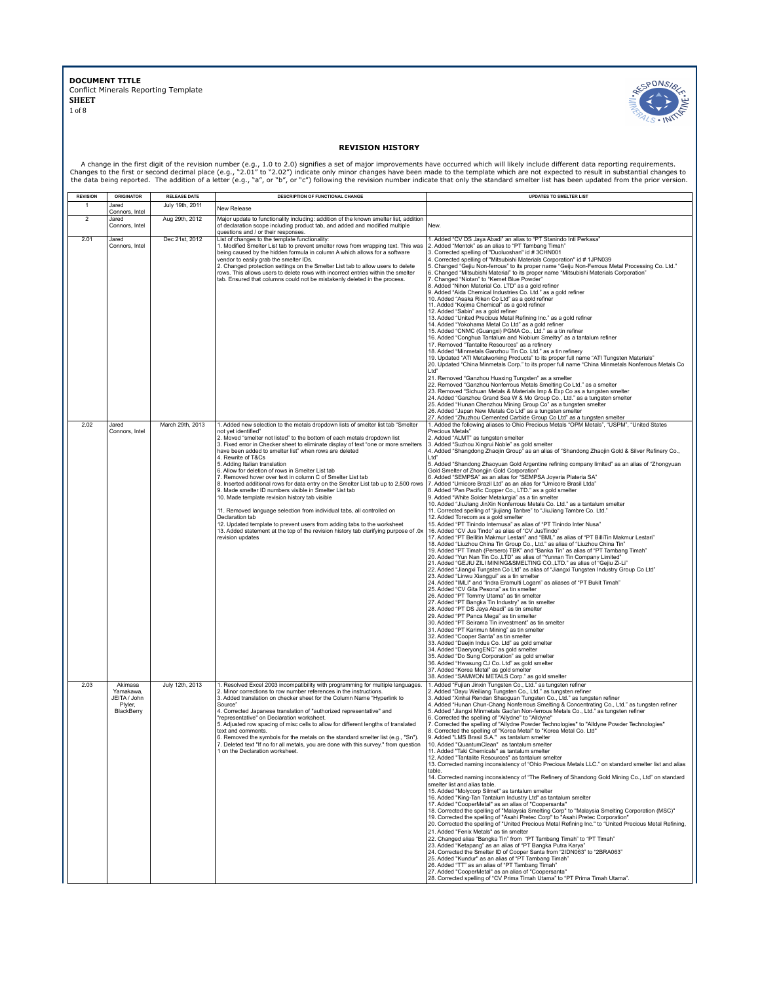

## **REVISION HISTORY**

A change in the first digit of the revision number (e.g., 1.0 to 2.0) signifies a set of major improvements have occurred which will likely include different data reporting requirements.<br>Changes to the first or second deci

| <b>REVISION</b> | <b>ORIGINATOR</b>                                             | <b>RELEASE DATE</b> | DESCRIPTION OF FUNCTIONAL CHANGE                                                                                                                                                                                                                                                                                                                                                                                                                                                                                                                                                                                                                                                                                                                                                                                                                                                                                                                                                                                                                                         | <b>UPDATES TO SMELTER LIST</b>                                                                                                                                                                                                                                                                                                                                                                                                                                                                                                                                                                                                                                                                                                                                                                                                                                                                                                                                                                                                                                                                                                                                                                                                                                                                                                                                                                                                                                                                                                                                                                                                                                                                                                                                                                                                                                                                                                                                                                                                                                                                                                                                                                                                                                                                                                                                                                                         |
|-----------------|---------------------------------------------------------------|---------------------|--------------------------------------------------------------------------------------------------------------------------------------------------------------------------------------------------------------------------------------------------------------------------------------------------------------------------------------------------------------------------------------------------------------------------------------------------------------------------------------------------------------------------------------------------------------------------------------------------------------------------------------------------------------------------------------------------------------------------------------------------------------------------------------------------------------------------------------------------------------------------------------------------------------------------------------------------------------------------------------------------------------------------------------------------------------------------|------------------------------------------------------------------------------------------------------------------------------------------------------------------------------------------------------------------------------------------------------------------------------------------------------------------------------------------------------------------------------------------------------------------------------------------------------------------------------------------------------------------------------------------------------------------------------------------------------------------------------------------------------------------------------------------------------------------------------------------------------------------------------------------------------------------------------------------------------------------------------------------------------------------------------------------------------------------------------------------------------------------------------------------------------------------------------------------------------------------------------------------------------------------------------------------------------------------------------------------------------------------------------------------------------------------------------------------------------------------------------------------------------------------------------------------------------------------------------------------------------------------------------------------------------------------------------------------------------------------------------------------------------------------------------------------------------------------------------------------------------------------------------------------------------------------------------------------------------------------------------------------------------------------------------------------------------------------------------------------------------------------------------------------------------------------------------------------------------------------------------------------------------------------------------------------------------------------------------------------------------------------------------------------------------------------------------------------------------------------------------------------------------------------------|
|                 | Jared                                                         | July 19th, 2011     | New Release                                                                                                                                                                                                                                                                                                                                                                                                                                                                                                                                                                                                                                                                                                                                                                                                                                                                                                                                                                                                                                                              |                                                                                                                                                                                                                                                                                                                                                                                                                                                                                                                                                                                                                                                                                                                                                                                                                                                                                                                                                                                                                                                                                                                                                                                                                                                                                                                                                                                                                                                                                                                                                                                                                                                                                                                                                                                                                                                                                                                                                                                                                                                                                                                                                                                                                                                                                                                                                                                                                        |
| 2               | Connors, Intel<br>Jared<br>Connors, Intel                     | Aug 29th, 2012      | Major update to functionality including: addition of the known smelter list, addition<br>of declaration scope including product tab, and added and modified multiple<br>questions and / or their responses.                                                                                                                                                                                                                                                                                                                                                                                                                                                                                                                                                                                                                                                                                                                                                                                                                                                              | New.                                                                                                                                                                                                                                                                                                                                                                                                                                                                                                                                                                                                                                                                                                                                                                                                                                                                                                                                                                                                                                                                                                                                                                                                                                                                                                                                                                                                                                                                                                                                                                                                                                                                                                                                                                                                                                                                                                                                                                                                                                                                                                                                                                                                                                                                                                                                                                                                                   |
| 2.01            | Jared<br>Connors, Intel                                       | Dec 21st, 2012      | List of changes to the template functionality:<br>1. Modified Smelter List tab to prevent smelter rows from wrapping text. This was<br>being caused by the hidden formula in column A which allows for a software<br>vendor to easily grab the smelter IDs.<br>2. Changed protection settings on the Smelter List tab to allow users to delete<br>rows. This allows users to delete rows with incorrect entries within the smelter<br>tab. Ensured that columns could not be mistakenly deleted in the process.                                                                                                                                                                                                                                                                                                                                                                                                                                                                                                                                                          | 1. Added "CV DS Jaya Abadi" an alias to "PT Stanindo Inti Perkasa"<br>2. Added "Mentok" as an alias to "PT Tambang Timah"<br>3. Corrected spelling of "Duoluoshan" id #3CHN001<br>4. Corrected spelling of "Mitsubishi Materials Corporation" id #1JPN039<br>5. Changed "Gejiu Non-ferrous" to its proper name "Geiju Non-Ferrous Metal Processing Co. Ltd."<br>6. Changed "Mitsubishi Material" to its proper name "Mitsubishi Materials Corporation"<br>7. Changed "Niotan" to "Kemet Blue Powder"<br>8. Added "Nihon Material Co. LTD" as a gold refiner<br>9. Added "Aida Chemical Industries Co. Ltd." as a gold refiner<br>10. Added "Asaka Riken Co Ltd" as a gold refiner<br>11. Added "Kojima Chemical" as a gold refiner<br>12. Added "Sabin" as a gold refiner<br>13. Added "United Precious Metal Refining Inc." as a gold refiner<br>14. Added "Yokohama Metal Co Ltd" as a gold refiner<br>15. Added "CNMC (Guangxi) PGMA Co., Ltd." as a tin refiner<br>16. Added "Conghua Tantalum and Niobium Smeltry" as a tantalum refiner<br>17. Removed "Tantalite Resources" as a refinery<br>18. Added "Minmetals Ganzhou Tin Co. Ltd." as a tin refinery<br>19. Updated "ATI Metalworking Products" to its proper full name "ATI Tungsten Materials"<br>20. Updated "China Minmetals Corp." to its proper full name "China Minmetals Nonferrous Metals Co<br>Ltd"<br>21. Removed "Ganzhou Huaxing Tungsten" as a smelter<br>22. Removed "Ganzhou Nonferrous Metals Smelting Co Ltd." as a smelter<br>23. Removed "Sichuan Metals & Materials Imp & Exp Co as a tungsten smelter<br>24. Added "Ganzhou Grand Sea W & Mo Group Co., Ltd." as a tungsten smelter<br>25. Added "Hunan Chenzhou Mining Group Co" as a tungsten smelter<br>26. Added "Japan New Metals Co Ltd" as a tungsten smelter                                                                                                                                                                                                                                                                                                                                                                                                                                                                                                                                                                                                                 |
| 2.02            | Jared<br>Connors, Intel                                       | March 29th, 2013    | 1. Added new selection to the metals dropdown lists of smelter list tab "Smelter<br>not yet identified"<br>2. Moved "smelter not listed" to the bottom of each metals dropdown list<br>3. Fixed error in Checker sheet to eliminate display of text "one or more smelters<br>have been added to smelter list" when rows are deleted<br>4. Rewrite of T&Cs<br>5. Adding Italian translation<br>6. Allow for deletion of rows in Smelter List tab<br>7. Removed hover over text in column C of Smelter List tab<br>8. Inserted additional rows for data entry on the Smelter List tab up to 2,500 rows 7. Added "Umicore Brazil Ltd" as an alias for "Umicore Brasil Ltda"<br>9. Made smelter ID numbers visible in Smelter List tab<br>10. Made template revision history tab visible<br>11. Removed language selection from individual tabs, all controlled on<br>Declaration tab<br>12. Updated template to prevent users from adding tabs to the worksheet<br>13. Added statement at the top of the revision history tab clarifying purpose of .0x<br>revision updates | 27. Added "Zhuzhou Cemented Carbide Group Co Ltd" as a tungsten smelter<br>1. Added the following aliases to Ohio Precious Metals "OPM Metals", "USPM", "United States<br>Precious Metals"<br>2. Added "ALMT" as tungsten smelter<br>3. Added "Suzhou Xingrui Noble" as gold smelter<br>4. Added "Shangdong Zhaojin Group" as an alias of "Shandong Zhaojin Gold & Silver Refinery Co.,<br>Ltd"<br>5. Added "Shandong Zhaoyuan Gold Argentine refining company limited" as an alias of "Zhongyuan<br>Gold Smelter of Zhongjin Gold Corporation"<br>6. Added "SEMPSA" as an alias for "SEMPSA Joyeria Plateria SA"<br>8. Added "Pan Pacific Copper Co., LTD." as a gold smelter<br>9. Added "White Solder Metalurgia" as a tin smelter<br>10. Added "JiuJiang JinXin Nonferrous Metals Co. Ltd." as a tantalum smelter<br>11. Corrected spelling of "jiujiang Tanbre" to "JiuJiang Tambre Co. Ltd."<br>12. Added Torecom as a gold smelter<br>15. Added "PT Tinindo Internusa" as alias of "PT Tinindo Inter Nusa"<br>16. Added "CV Jus Tindo" as alias of "CV JusTindo"<br>17. Added "PT Bellitin Makmur Lestari" and "BML" as alias of "PT BilliTin Makmur Lestari"<br>18. Added "Liuzhou China Tin Group Co., Ltd." as alias of "Liuzhou China Tin"<br>19. Added "PT Timah (Persero) TBK" and "Banka Tin" as alias of "PT Tambang Timah"<br>20. Added "Yun Nan Tin CoLTD" as alias of "Yunnan Tin Company Limited" 21. Added "GEJIU ZILI MINING&SMELTING CO.,LTD." as alias of "Gejiu Zi-Li"<br>22. Added "Jiangxi Tungsten Co Ltd" as alias of "Jiangxi Tungsten Industry Group Co Ltd"<br>23. Added "Linwu Xianggui" as a tin smelter<br>24. Added "IMLI" and "Indra Eramulti Logam" as aliases of "PT Bukit Timah"<br>25. Added "CV Gita Pesona" as tin smelter<br>26. Added "PT Tommy Utama" as tin smelter<br>27. Added "PT Bangka Tin Industry" as tin smelter<br>28. Added "PT DS Jaya Abadi" as tin smelter<br>29. Added "PT Panca Mega" as tin smelter<br>30. Added "PT Seirama Tin investment" as tin smelter<br>31. Added "PT Karimun Mining" as tin smelter<br>32. Added "Cooper Santa" as tin smelter<br>33. Added "Daejin Indus Co. Ltd" as gold smelter<br>34. Added "DaeryongENC" as gold smelter<br>35. Added "Do Sung Corporation" as gold smelter<br>36. Added "Hwasung CJ Co. Ltd" as gold smelter<br>37. Added "Korea Metal" as gold smelter<br>38. Added "SAMWON METALS Corp." as gold smelter |
| 2.03            | Akimasa<br>Yamakawa,<br>JEITA / John<br>Plyler,<br>BlackBerry | July 12th, 2013     | 1. Resolved Excel 2003 incompatibility with programming for multiple languages.<br>2. Minor corrections to row number references in the instructions.<br>3. Added translation on checker sheet for the Column Name "Hyperlink to<br>Source"<br>4. Corrected Japanese translation of "authorized representative" and<br>"representative" on Declaration worksheet.<br>5. Adjusted row spacing of misc cells to allow for different lengths of translated<br>text and comments.<br>6. Removed the symbols for the metals on the standard smelter list (e.g., "Sn").<br>7. Deleted text "If no for all metals, you are done with this survey." from question<br>1 on the Declaration worksheet.                                                                                                                                                                                                                                                                                                                                                                             | 1. Added "Fujian Jinxin Tungsten Co., Ltd." as tungsten refiner<br>2. Added "Dayu Weiliang Tungsten Co., Ltd." as tungsten refiner<br>3. Added "Xinhai Rendan Shaoguan Tungsten Co., Ltd." as tungsten refiner<br>4. Added "Hunan Chun-Chang Nonferrous Smelting & Concentrating Co., Ltd." as tungsten refiner<br>5. Added "Jiangxi Minmetals Gao'an Non-ferrous Metals Co., Ltd." as tungsten refiner<br>6. Corrected the spelling of "Allydne" to "Alldyne"<br>7. Corrected the spelling of "Allydne Powder Technologies" to "Alldyne Powder Technologies"<br>8. Corrected the spelling of "Korea Metal" to "Korea Metal Co. Ltd"<br>9. Added "LMS Brasil S.A." as tantalum smelter<br>10. Added "QuantumClean" as tantalum smelter<br>11. Added "Taki Chemicals" as tantalum smelter<br>12. Added "Tantalite Resources" as tantalum smelter<br>13. Corrected naming inconsistency of "Ohio Precious Metals LLC." on standard smelter list and alias<br>table.<br>14. Corrected naming inconsistency of "The Refinery of Shandong Gold Mining Co., Ltd" on standard<br>smelter list and alias table.<br>15. Added "Molycorp Silmet" as tantalum smelter<br>16. Added "King-Tan Tantalum Industry Ltd" as tantalum smelter<br>17. Added "CooperMetal" as an alias of "Coopersanta"<br>18. Corrected the spelling of "Malaysia Smelting Corp" to "Malaysia Smelting Corporation (MSC)"<br>19. Corrected the spelling of "Asahi Pretec Corp" to "Asahi Pretec Corporation"<br>20. Corrected the spelling of "United Precious Metal Refining Inc." to "United Precious Metal Refining.<br>21. Added "Fenix Metals" as tin smelter<br>22. Changed alias "Bangka Tin" from "PT Tambang Timah" to "PT Timah"<br>23. Added "Ketapang" as an alias of "PT Bangka Putra Karya"<br>24. Corrected the Smelter ID of Cooper Santa from "2IDN063" to "2BRA063"<br>25. Added "Kundur" as an alias of "PT Tambang Timah"<br>26. Added "TT" as an alias of "PT Tambang Timah"<br>27. Added "CooperMetal" as an alias of "Coopersanta"<br>28. Corrected spelling of "CV Prima Timah Utama" to "PT Prima Timah Utama".                                                                                                                                                                                                                                                                                                                 |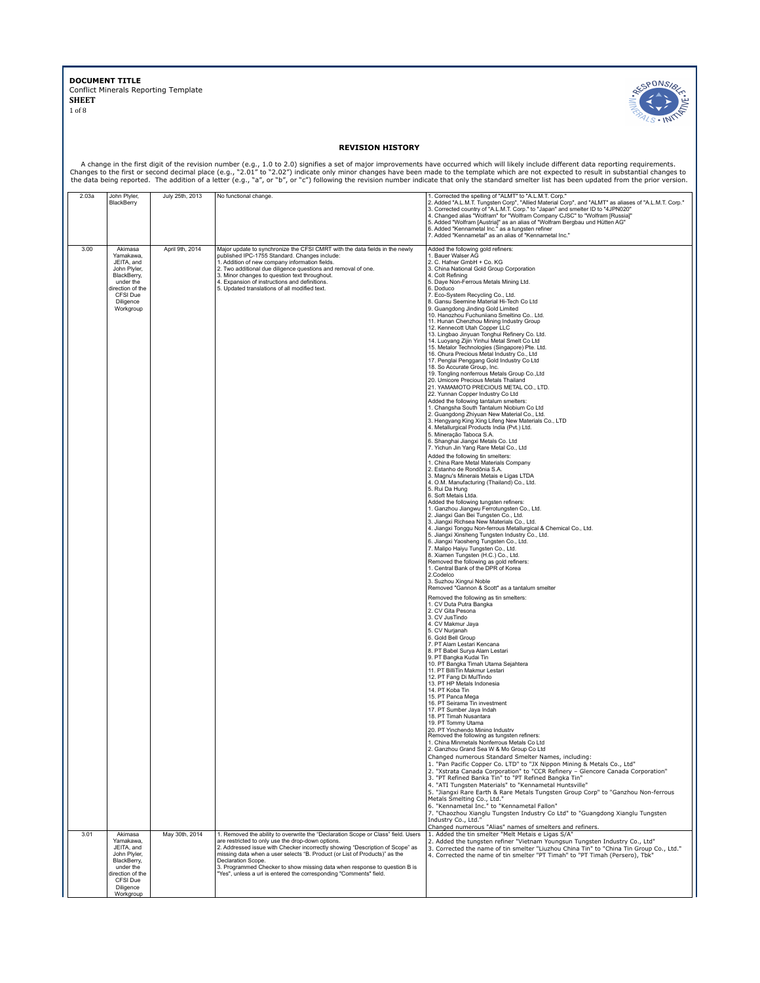

## **REVISION HISTORY**

A change in the first digit of the revision number (e.g., 1.0 to 2.0) signifies a set of major improvements have occurred which will likely include different data reporting requirements.<br>Changes to the first or second deci

| 2.03a | John Plyler,                                                                                                                             | July 25th, 2013 | No functional change.                                                                                                                                                                                                                                                                                                                                                                              | 1. Corrected the spelling of "ALMT" to "A.L.M.T. Corp."                                                                                                                                                                                                                                                                                                                                                                                                                                                                                                                                                                                                                                                                                                                                                                                                                                                                                                                                                                                                                                                                                                                                                                                                                                                                                                                                                                                                                                                                                                                                                                                                                                                                                                                                                                                                                                                                                                                                                                                                                                                                                                                                                                                                                                                                                                                                                                                                                                                                                                                                                                                                                                                                                                                                                                                                                                                                                                                                                                                                                                                                                                                                                                                                                                                                                                                                                                                                                                                                                                  |
|-------|------------------------------------------------------------------------------------------------------------------------------------------|-----------------|----------------------------------------------------------------------------------------------------------------------------------------------------------------------------------------------------------------------------------------------------------------------------------------------------------------------------------------------------------------------------------------------------|----------------------------------------------------------------------------------------------------------------------------------------------------------------------------------------------------------------------------------------------------------------------------------------------------------------------------------------------------------------------------------------------------------------------------------------------------------------------------------------------------------------------------------------------------------------------------------------------------------------------------------------------------------------------------------------------------------------------------------------------------------------------------------------------------------------------------------------------------------------------------------------------------------------------------------------------------------------------------------------------------------------------------------------------------------------------------------------------------------------------------------------------------------------------------------------------------------------------------------------------------------------------------------------------------------------------------------------------------------------------------------------------------------------------------------------------------------------------------------------------------------------------------------------------------------------------------------------------------------------------------------------------------------------------------------------------------------------------------------------------------------------------------------------------------------------------------------------------------------------------------------------------------------------------------------------------------------------------------------------------------------------------------------------------------------------------------------------------------------------------------------------------------------------------------------------------------------------------------------------------------------------------------------------------------------------------------------------------------------------------------------------------------------------------------------------------------------------------------------------------------------------------------------------------------------------------------------------------------------------------------------------------------------------------------------------------------------------------------------------------------------------------------------------------------------------------------------------------------------------------------------------------------------------------------------------------------------------------------------------------------------------------------------------------------------------------------------------------------------------------------------------------------------------------------------------------------------------------------------------------------------------------------------------------------------------------------------------------------------------------------------------------------------------------------------------------------------------------------------------------------------------------------------------------------------|
|       | BlackBerry                                                                                                                               |                 |                                                                                                                                                                                                                                                                                                                                                                                                    | 2. Added "A.L.M.T. Tungsten Corp", "Allied Material Corp", and "ALMT" as aliases of "A.L.M.T. Corp."<br>3. Corrected country of "A.L.M.T. Corp." to "Japan" and smelter ID to "4JPN020"<br>4. Changed alias "Wolfram" for "Wolfram Company CJSC" to "Wolfram [Russia]"<br>5. Added "Wolfram [Austria]" as an alias of "Wolfram Bergbau und Hütten AG"<br>6. Added "Kennametal Inc." as a tungsten refiner<br>7. Added "Kennametal" as an alias of "Kennametal Inc."                                                                                                                                                                                                                                                                                                                                                                                                                                                                                                                                                                                                                                                                                                                                                                                                                                                                                                                                                                                                                                                                                                                                                                                                                                                                                                                                                                                                                                                                                                                                                                                                                                                                                                                                                                                                                                                                                                                                                                                                                                                                                                                                                                                                                                                                                                                                                                                                                                                                                                                                                                                                                                                                                                                                                                                                                                                                                                                                                                                                                                                                                      |
| 3.00  | Akimasa<br>Yamakawa.<br>JEITA, and<br>John Plyler.<br>BlackBerry,<br>under the<br>direction of the<br>CFSI Due<br>Diligence<br>Workgroup | April 9th, 2014 | Major update to synchronize the CFSI CMRT with the data fields in the newly<br>published IPC-1755 Standard, Changes include:<br>1. Addition of new company information fields.<br>2. Two additional due diligence questions and removal of one.<br>3. Minor changes to question text throughout.<br>4. Expansion of instructions and definitions.<br>5. Updated translations of all modified text. | Added the following gold refiners:<br>1. Bauer Walser AG<br>2. C. Hafner GmbH + Co. KG<br>3. China National Gold Group Corporation<br>4. Colt Refining<br>5. Daye Non-Ferrous Metals Mining Ltd.<br>6. Doduco<br>7. Eco-System Recycling Co., Ltd.<br>8. Gansu Seemine Material Hi-Tech Co Ltd<br>9. Guangdong Jinding Gold Limited<br>10. Hanozhou Fuchuniiano Smeltino Co., Ltd.<br>11. Hunan Chenzhou Mining Industry Group<br>12. Kennecott Utah Copper LLC<br>13. Lingbao Jinyuan Tonghui Refinery Co. Ltd.<br>14. Luoyang Zijin Yinhui Metal Smelt Co Ltd<br>15. Metalor Technologies (Singapore) Pte. Ltd.<br>16. Ohura Precious Metal Industry Co., Ltd<br>17. Penglai Penggang Gold Industry Co Ltd<br>18. So Accurate Group, Inc.<br>19. Tongling nonferrous Metals Group Co., Ltd<br>20. Umicore Precious Metals Thailand<br>21. YAMAMOTO PRECIOUS METAL CO., LTD.<br>22. Yunnan Copper Industry Co Ltd<br>Added the following tantalum smelters:<br>1. Changsha South Tantalum Niobium Co Ltd<br>2. Guangdong Zhiyuan New Material Co., Ltd.<br>3. Hengyang King Xing Lifeng New Materials Co., LTD<br>4. Metallurgical Products India (Pvt.) Ltd.<br>5. Mineração Taboca S.A.<br>6. Shanghai Jiangxi Metals Co. Ltd<br>7. Yichun Jin Yang Rare Metal Co., Ltd<br>Added the following tin smelters:<br>1. China Rare Metal Materials Company<br>2. Estanho de Rondônia S.A.<br>3. Magnu's Minerais Metais e Ligas LTDA<br>4. O.M. Manufacturing (Thailand) Co., Ltd.<br>5. Rui Da Hung<br>6. Soft Metais Ltda.<br>Added the following tungsten refiners:<br>1. Ganzhou Jiangwu Ferrotungsten Co., Ltd.<br>2. Jiangxi Gan Bei Tungsten Co., Ltd.<br>3. Jiangxi Richsea New Materials Co., Ltd.<br>4. Jiangxi Tonggu Non-ferrous Metallurgical & Chemical Co., Ltd.<br>5. Jiangxi Xinsheng Tungsten Industry Co., Ltd.<br>6. Jiangxi Yaosheng Tungsten Co., Ltd.<br>7. Malipo Haiyu Tungsten Co., Ltd.<br>8. Xiamen Tungsten (H.C.) Co., Ltd.<br>Removed the following as gold refiners:<br>1. Central Bank of the DPR of Korea<br>2.Codelco<br>3. Suzhou Xingrui Noble<br>Removed "Gannon & Scott" as a tantalum smelter<br>Removed the following as tin smelters:<br>1. CV Duta Putra Bangka<br>2. CV Gita Pesona<br>3. CV JusTindo<br>4. CV Makmur Jaya<br>5. CV Nurjanah<br>6. Gold Bell Group<br>7. PT Alam Lestari Kencana<br>8. PT Babel Surya Alam Lestari<br>9. PT Bangka Kudai Tin<br>10. PT Bangka Timah Utama Sejahtera<br>11. PT BilliTin Makmur Lestari<br>12. PT Fang Di MulTindo<br>13. PT HP Metals Indonesia<br>14. PT Koba Tin<br>15. PT Panca Mega<br>16. PT Seirama Tin investment<br>17. PT Sumber Java Indah<br>18. PT Timah Nusantara<br>19. PT Tommy Utama<br>20. PT Yinchendo Minina Industrv<br>Removed the following as tungsten refiners:<br>1. China Minmetals Nonferrous Metals Co Ltd<br>2. Ganzhou Grand Sea W & Mo Group Co Ltd<br>Changed numerous Standard Smelter Names, including:<br>1. "Pan Pacific Copper Co. LTD" to "JX Nippon Mining & Metals Co., Ltd"<br>2. "Xstrata Canada Corporation" to "CCR Refinery - Glencore Canada Corporation"<br>3. "PT Refined Banka Tin" to "PT Refined Bangka Tin"<br>4. "ATI Tungsten Materials" to "Kennametal Huntsville"<br>5. "Jianqxi Rare Earth & Rare Metals Tungsten Group Corp" to "Ganzhou Non-ferrous<br>Metals Smelting Co., Ltd."<br>6. "Kennametal Inc." to "Kennametal Fallon"<br>7. "Chaozhou Xianglu Tungsten Industry Co Ltd" to "Guangdong Xianglu Tungsten<br>Industry Co., Ltd."<br>Changed numerous "Alias" names of smelters and refiners. |
| 3.01  | Akimasa<br>Yamakawa,                                                                                                                     | May 30th, 2014  | 1. Removed the ability to overwrite the "Declaration Scope or Class" field. Users                                                                                                                                                                                                                                                                                                                  | 1. Added the tin smelter "Melt Metais e Ligas S/A"                                                                                                                                                                                                                                                                                                                                                                                                                                                                                                                                                                                                                                                                                                                                                                                                                                                                                                                                                                                                                                                                                                                                                                                                                                                                                                                                                                                                                                                                                                                                                                                                                                                                                                                                                                                                                                                                                                                                                                                                                                                                                                                                                                                                                                                                                                                                                                                                                                                                                                                                                                                                                                                                                                                                                                                                                                                                                                                                                                                                                                                                                                                                                                                                                                                                                                                                                                                                                                                                                                       |
|       | JEITA, and<br>John Plyler,<br>BlackBerry,<br>under the<br>lirection of the                                                               |                 | are restricted to only use the drop-down options.<br>2. Addressed issue with Checker incorrectly showing "Description of Scope" as<br>missing data when a user selects "B. Product (or List of Products)" as the<br>Declaration Scope.<br>3. Programmed Checker to show missing data when response to question B is<br>"Yes", unless a url is entered the corresponding "Comments" field.          | 2. Added the tungsten refiner "Vietnam Youngsun Tungsten Industry Co., Ltd"<br>3. Corrected the name of tin smelter "Liuzhou China Tin" to "China Tin Group Co., Ltd."<br>4. Corrected the name of tin smelter "PT Timah" to "PT Timah (Persero), Tbk"                                                                                                                                                                                                                                                                                                                                                                                                                                                                                                                                                                                                                                                                                                                                                                                                                                                                                                                                                                                                                                                                                                                                                                                                                                                                                                                                                                                                                                                                                                                                                                                                                                                                                                                                                                                                                                                                                                                                                                                                                                                                                                                                                                                                                                                                                                                                                                                                                                                                                                                                                                                                                                                                                                                                                                                                                                                                                                                                                                                                                                                                                                                                                                                                                                                                                                   |
|       | CFSI Due<br>Diligence<br>Workgroup                                                                                                       |                 |                                                                                                                                                                                                                                                                                                                                                                                                    |                                                                                                                                                                                                                                                                                                                                                                                                                                                                                                                                                                                                                                                                                                                                                                                                                                                                                                                                                                                                                                                                                                                                                                                                                                                                                                                                                                                                                                                                                                                                                                                                                                                                                                                                                                                                                                                                                                                                                                                                                                                                                                                                                                                                                                                                                                                                                                                                                                                                                                                                                                                                                                                                                                                                                                                                                                                                                                                                                                                                                                                                                                                                                                                                                                                                                                                                                                                                                                                                                                                                                          |